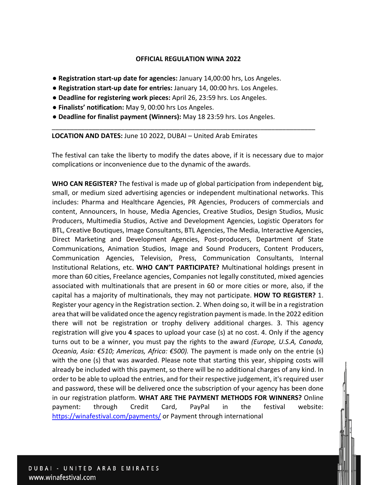## **OFFICIAL REGULATION WINA 2022**

- **Registration start-up date for agencies:** January 14,00:00 hrs, Los Angeles.
- **Registration start-up date for entries:** January 14, 00:00 hrs. Los Angeles.
- **Deadline for registering work pieces:** April 26, 23:59 hrs. Los Angeles.
- **Finalists' notification:** May 9, 00:00 hrs Los Angeles.
- **Deadline for finalist payment (Winners):** May 18 23:59 hrs. Los Angeles.

**LOCATION AND DATES:** June 10 2022, DUBAI – United Arab Emirates

The festival can take the liberty to modify the dates above, if it is necessary due to major complications or inconvenience due to the dynamic of the awards.

\_\_\_\_\_\_\_\_\_\_\_\_\_\_\_\_\_\_\_\_\_\_\_\_\_\_\_\_\_\_\_\_\_\_\_\_\_\_\_\_\_\_\_\_\_\_\_\_\_\_\_\_\_\_\_\_\_\_\_\_\_\_\_\_\_\_\_\_\_\_\_\_

**WHO CAN REGISTER?** The festival is made up of global participation from independent big, small, or medium sized advertising agencies or independent multinational networks. This includes: Pharma and Healthcare Agencies, PR Agencies, Producers of commercials and content, Announcers, In house, Media Agencies, Creative Studios, Design Studios, Music Producers, Multimedia Studios, Active and Development Agencies, Logistic Operators for BTL, Creative Boutiques, Image Consultants, BTL Agencies, The Media, Interactive Agencies, Direct Marketing and Development Agencies, Post-producers, Department of State Communications, Animation Studios, Image and Sound Producers, Content Producers, Communication Agencies, Television, Press, Communication Consultants, Internal Institutional Relations, etc. **WHO CAN'T PARTICIPATE?** Multinational holdings present in more than 60 cities, Freelance agencies, Companies not legally constituted, mixed agencies associated with multinationals that are present in 60 or more cities or more, also, if the capital has a majority of multinationals, they may not participate. **HOW TO REGISTER?** 1. Register your agency in the Registration section. 2. When doing so, it will be in a registration area that will be validated once the agency registration payment is made. In the 2022 edition there will not be registration or trophy delivery additional charges. 3. This agency registration will give you **4** spaces to upload your case (s) at no cost. 4. Only if the agency turns out to be a winner, you must pay the rights to the award *(Europe, U.S.A, Canada, Oceania, Asia: €510; Americas, Africa: €500).* The payment is made only on the entrie (s) with the one (s) that was awarded. Please note that starting this year, shipping costs will already be included with this payment, so there will be no additional charges of any kind. In order to be able to upload the entries, and for their respective judgement, it's required user and password, these will be delivered once the subscription of your agency has been done in our registration platform. **WHAT ARE THE PAYMENT METHODS FOR WINNERS?** Online payment: through Credit Card, PayPal in the festival website: https://winafestival.com/payments/ or Payment through international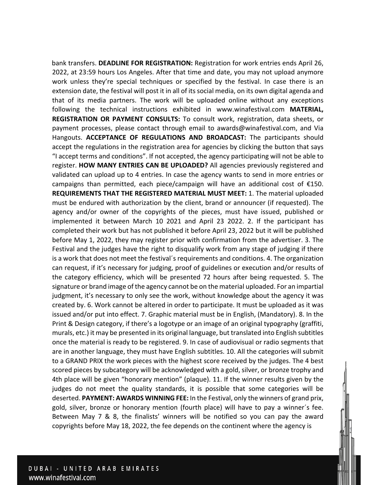bank transfers. **DEADLINE FOR REGISTRATION:** Registration for work entries ends April 26, 2022, at 23:59 hours Los Angeles. After that time and date, you may not upload anymore work unless they're special techniques or specified by the festival. In case there is an extension date, the festival will post it in all of its social media, on its own digital agenda and that of its media partners. The work will be uploaded online without any exceptions following the technical instructions exhibited in www.winafestival.com **MATERIAL, REGISTRATION OR PAYMENT CONSULTS:** To consult work, registration, data sheets, or payment processes, please contact through email to awards@winafestival.com, and Via Hangouts. **ACCEPTANCE OF REGULATIONS AND BROADCAST:** The participants should accept the regulations in the registration area for agencies by clicking the button that says "I accept terms and conditions". If not accepted, the agency participating will not be able to register. **HOW MANY ENTRIES CAN BE UPLOADED?** All agencies previously registered and validated can upload up to 4 entries. In case the agency wants to send in more entries or campaigns than permitted, each piece/campaign will have an additional cost of €150. **REQUIREMENTS THAT THE REGISTERED MATERIAL MUST MEET:** 1. The material uploaded must be endured with authorization by the client, brand or announcer (if requested). The agency and/or owner of the copyrights of the pieces, must have issued, published or implemented it between March 10 2021 and April 23 2022. 2. If the participant has completed their work but has not published it before April 23, 2022 but it will be published before May 1, 2022, they may register prior with confirmation from the advertiser. 3. The Festival and the judges have the right to disqualify work from any stage of judging if there is a work that does not meet the festival´s requirements and conditions. 4. The organization can request, if it's necessary for judging, proof of guidelines or execution and/or results of the category efficiency, which will be presented 72 hours after being requested. 5. The signature or brand image of the agency cannot be on the material uploaded. For an impartial judgment, it's necessary to only see the work, without knowledge about the agency it was created by. 6. Work cannot be altered in order to participate. It must be uploaded as it was issued and/or put into effect. 7. Graphic material must be in English, (Mandatory). 8. In the Print & Design category, if there's a logotype or an image of an original typography (graffiti, murals, etc.) it may be presented in its original language, but translated into English subtitles once the material is ready to be registered. 9. In case of audiovisual or radio segments that are in another language, they must have English subtitles. 10. All the categories will submit to a GRAND PRIX the work pieces with the highest score received by the judges. The 4 best scored pieces by subcategory will be acknowledged with a gold, silver, or bronze trophy and 4th place will be given "honorary mention" (plaque). 11. If the winner results given by the judges do not meet the quality standards, it is possible that some categories will be deserted. **PAYMENT: AWARDS WINNING FEE:** In the Festival, only the winners of grand prix, gold, silver, bronze or honorary mention (fourth place) will have to pay a winner´s fee. Between May 7 & 8, the finalists' winners will be notified so you can pay the award copyrights before May 18, 2022, the fee depends on the continent where the agency is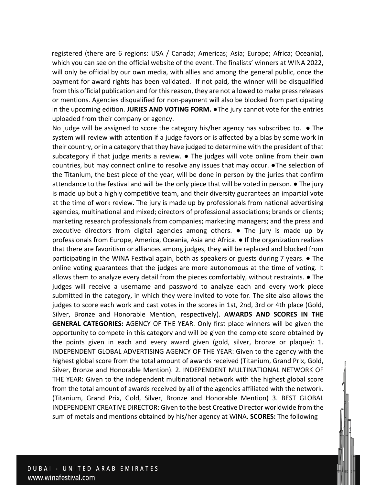registered (there are 6 regions: USA / Canada; Americas; Asia; Europe; Africa; Oceania), which you can see on the official website of the event. The finalists' winners at WINA 2022, will only be official by our own media, with allies and among the general public, once the payment for award rights has been validated. If not paid, the winner will be disqualified from this official publication and for this reason, they are not allowed to make press releases or mentions. Agencies disqualified for non-payment will also be blocked from participating in the upcoming edition. **JURIES AND VOTING FORM.** ●The jury cannot vote for the entries uploaded from their company or agency.

No judge will be assigned to score the category his/her agency has subscribed to. ● The system will review with attention if a judge favors or is affected by a bias by some work in their country, or in a category that they have judged to determine with the president of that subcategory if that judge merits a review. ● The judges will vote online from their own countries, but may connect online to resolve any issues that may occur. ●The selection of the Titanium, the best piece of the year, will be done in person by the juries that confirm attendance to the festival and will be the only piece that will be voted in person. ● The jury is made up but a highly competitive team, and their diversity guarantees an impartial vote at the time of work review. The jury is made up by professionals from national advertising agencies, multinational and mixed; directors of professional associations; brands or clients; marketing research professionals from companies; marketing managers; and the press and executive directors from digital agencies among others.  $\bullet$  The jury is made up by professionals from Europe, America, Oceania, Asia and Africa. ● If the organization realizes that there are favoritism or alliances among judges, they will be replaced and blocked from participating in the WINA Festival again, both as speakers or guests during 7 years. ● The online voting guarantees that the judges are more autonomous at the time of voting. It allows them to analyze every detail from the pieces comfortably, without restraints. ● The judges will receive a username and password to analyze each and every work piece submitted in the category, in which they were invited to vote for. The site also allows the judges to score each work and cast votes in the scores in 1st, 2nd, 3rd or 4th place (Gold, Silver, Bronze and Honorable Mention, respectively). **AWARDS AND SCORES IN THE GENERAL CATEGORIES:** AGENCY OF THE YEAR. Only first place winners will be given the opportunity to compete in this category and will be given the complete score obtained by the points given in each and every award given (gold, silver, bronze or plaque): 1. INDEPENDENT GLOBAL ADVERTISING AGENCY OF THE YEAR: Given to the agency with the highest global score from the total amount of awards received (Titanium, Grand Prix, Gold, Silver, Bronze and Honorable Mention). 2. INDEPENDENT MULTINATIONAL NETWORK OF THE YEAR: Given to the independent multinational network with the highest global score from the total amount of awards received by all of the agencies affiliated with the network. (Titanium, Grand Prix, Gold, Silver, Bronze and Honorable Mention) 3. BEST GLOBAL INDEPENDENT CREATIVE DIRECTOR: Given to the best Creative Director worldwide from the sum of metals and mentions obtained by his/her agency at WINA. **SCORES:** The following